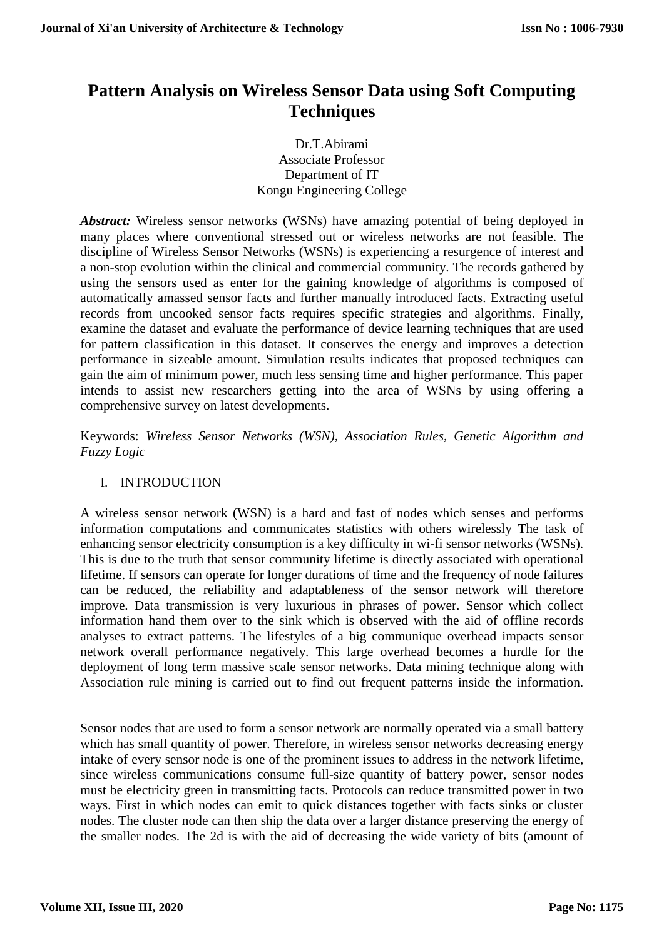# **Pattern Analysis on Wireless Sensor Data using Soft Computing Techniques**

Dr.T.Abirami Associate Professor Department of IT Kongu Engineering College

*Abstract:* Wireless sensor networks (WSNs) have amazing potential of being deployed in many places where conventional stressed out or wireless networks are not feasible. The discipline of Wireless Sensor Networks (WSNs) is experiencing a resurgence of interest and a non-stop evolution within the clinical and commercial community. The records gathered by using the sensors used as enter for the gaining knowledge of algorithms is composed of automatically amassed sensor facts and further manually introduced facts. Extracting useful records from uncooked sensor facts requires specific strategies and algorithms. Finally, examine the dataset and evaluate the performance of device learning techniques that are used for pattern classification in this dataset. It conserves the energy and improves a detection performance in sizeable amount. Simulation results indicates that proposed techniques can gain the aim of minimum power, much less sensing time and higher performance. This paper intends to assist new researchers getting into the area of WSNs by using offering a comprehensive survey on latest developments.

Keywords: *Wireless Sensor Networks (WSN), Association Rules, Genetic Algorithm and Fuzzy Logic*

## I. INTRODUCTION

A wireless sensor network (WSN) is a hard and fast of nodes which senses and performs information computations and communicates statistics with others wirelessly The task of enhancing sensor electricity consumption is a key difficulty in wi-fi sensor networks (WSNs). This is due to the truth that sensor community lifetime is directly associated with operational lifetime. If sensors can operate for longer durations of time and the frequency of node failures can be reduced, the reliability and adaptableness of the sensor network will therefore improve. Data transmission is very luxurious in phrases of power. Sensor which collect information hand them over to the sink which is observed with the aid of offline records analyses to extract patterns. The lifestyles of a big communique overhead impacts sensor network overall performance negatively. This large overhead becomes a hurdle for the deployment of long term massive scale sensor networks. Data mining technique along with Association rule mining is carried out to find out frequent patterns inside the information.

Sensor nodes that are used to form a sensor network are normally operated via a small battery which has small quantity of power. Therefore, in wireless sensor networks decreasing energy intake of every sensor node is one of the prominent issues to address in the network lifetime, since wireless communications consume full-size quantity of battery power, sensor nodes must be electricity green in transmitting facts. Protocols can reduce transmitted power in two ways. First in which nodes can emit to quick distances together with facts sinks or cluster nodes. The cluster node can then ship the data over a larger distance preserving the energy of the smaller nodes. The 2d is with the aid of decreasing the wide variety of bits (amount of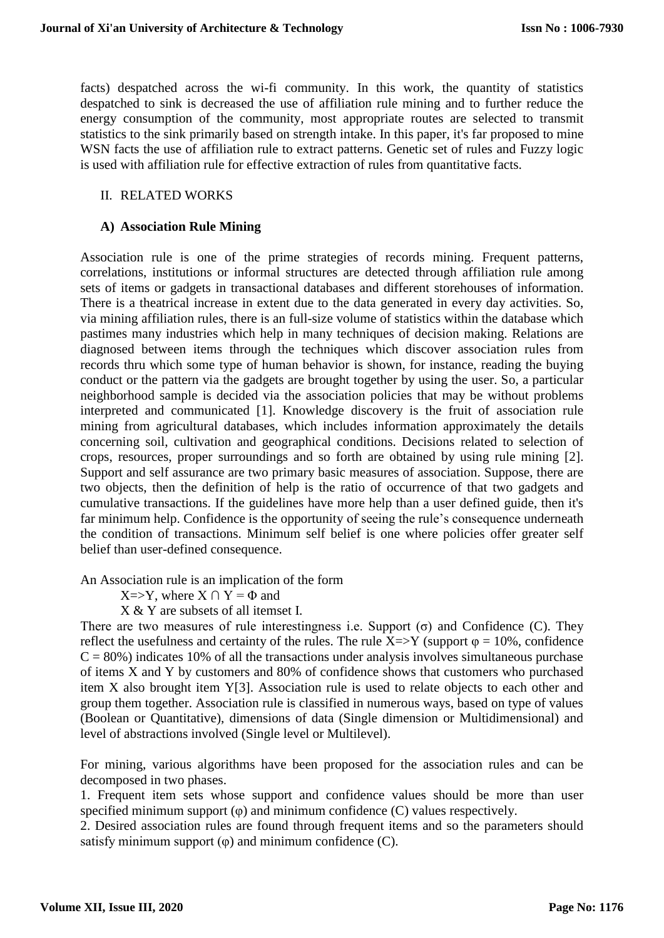facts) despatched across the wi-fi community. In this work, the quantity of statistics despatched to sink is decreased the use of affiliation rule mining and to further reduce the energy consumption of the community, most appropriate routes are selected to transmit statistics to the sink primarily based on strength intake. In this paper, it's far proposed to mine WSN facts the use of affiliation rule to extract patterns. Genetic set of rules and Fuzzy logic is used with affiliation rule for effective extraction of rules from quantitative facts.

### II. RELATED WORKS

## **A) Association Rule Mining**

Association rule is one of the prime strategies of records mining. Frequent patterns, correlations, institutions or informal structures are detected through affiliation rule among sets of items or gadgets in transactional databases and different storehouses of information. There is a theatrical increase in extent due to the data generated in every day activities. So, via mining affiliation rules, there is an full-size volume of statistics within the database which pastimes many industries which help in many techniques of decision making. Relations are diagnosed between items through the techniques which discover association rules from records thru which some type of human behavior is shown, for instance, reading the buying conduct or the pattern via the gadgets are brought together by using the user. So, a particular neighborhood sample is decided via the association policies that may be without problems interpreted and communicated [1]. Knowledge discovery is the fruit of association rule mining from agricultural databases, which includes information approximately the details concerning soil, cultivation and geographical conditions. Decisions related to selection of crops, resources, proper surroundings and so forth are obtained by using rule mining [2]. Support and self assurance are two primary basic measures of association. Suppose, there are two objects, then the definition of help is the ratio of occurrence of that two gadgets and cumulative transactions. If the guidelines have more help than a user defined guide, then it's far minimum help. Confidence is the opportunity of seeing the rule's consequence underneath the condition of transactions. Minimum self belief is one where policies offer greater self belief than user-defined consequence.

An Association rule is an implication of the form

 $X = Y$ , where  $X \cap Y = \Phi$  and

X & Y are subsets of all itemset I.

There are two measures of rule interestingness i.e. Support  $(\sigma)$  and Confidence (C). They reflect the usefulness and certainty of the rules. The rule  $X \Rightarrow Y$  (support  $\varphi = 10\%$ , confidence  $C = 80\%$ ) indicates 10% of all the transactions under analysis involves simultaneous purchase of items X and Y by customers and 80% of confidence shows that customers who purchased item X also brought item Y[3]. Association rule is used to relate objects to each other and group them together. Association rule is classified in numerous ways, based on type of values (Boolean or Quantitative), dimensions of data (Single dimension or Multidimensional) and level of abstractions involved (Single level or Multilevel).

For mining, various algorithms have been proposed for the association rules and can be decomposed in two phases.

1. Frequent item sets whose support and confidence values should be more than user specified minimum support  $(\varphi)$  and minimum confidence  $(C)$  values respectively.

2. Desired association rules are found through frequent items and so the parameters should satisfy minimum support  $(\varphi)$  and minimum confidence  $(C)$ .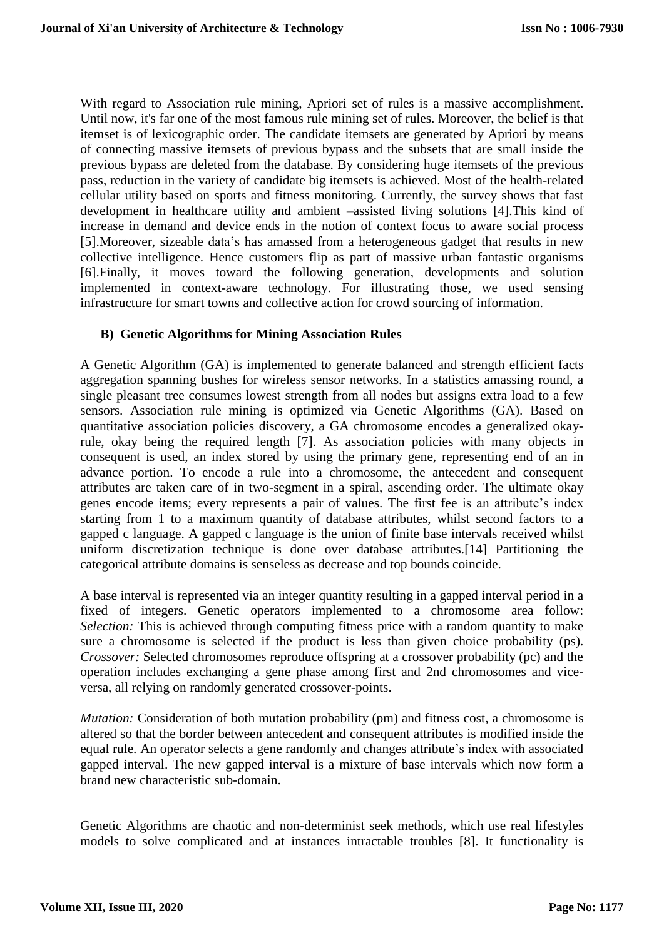With regard to Association rule mining, Apriori set of rules is a massive accomplishment. Until now, it's far one of the most famous rule mining set of rules. Moreover, the belief is that itemset is of lexicographic order. The candidate itemsets are generated by Apriori by means of connecting massive itemsets of previous bypass and the subsets that are small inside the previous bypass are deleted from the database. By considering huge itemsets of the previous pass, reduction in the variety of candidate big itemsets is achieved. Most of the health-related cellular utility based on sports and fitness monitoring. Currently, the survey shows that fast development in healthcare utility and ambient –assisted living solutions [4].This kind of increase in demand and device ends in the notion of context focus to aware social process [5].Moreover, sizeable data's has amassed from a heterogeneous gadget that results in new collective intelligence. Hence customers flip as part of massive urban fantastic organisms [6].Finally, it moves toward the following generation, developments and solution implemented in context-aware technology. For illustrating those, we used sensing infrastructure for smart towns and collective action for crowd sourcing of information.

#### **B) Genetic Algorithms for Mining Association Rules**

A Genetic Algorithm (GA) is implemented to generate balanced and strength efficient facts aggregation spanning bushes for wireless sensor networks. In a statistics amassing round, a single pleasant tree consumes lowest strength from all nodes but assigns extra load to a few sensors. Association rule mining is optimized via Genetic Algorithms (GA). Based on quantitative association policies discovery, a GA chromosome encodes a generalized okayrule, okay being the required length [7]. As association policies with many objects in consequent is used, an index stored by using the primary gene, representing end of an in advance portion. To encode a rule into a chromosome, the antecedent and consequent attributes are taken care of in two-segment in a spiral, ascending order. The ultimate okay genes encode items; every represents a pair of values. The first fee is an attribute's index starting from 1 to a maximum quantity of database attributes, whilst second factors to a gapped c language. A gapped c language is the union of finite base intervals received whilst uniform discretization technique is done over database attributes.[14] Partitioning the categorical attribute domains is senseless as decrease and top bounds coincide.

A base interval is represented via an integer quantity resulting in a gapped interval period in a fixed of integers. Genetic operators implemented to a chromosome area follow: *Selection:* This is achieved through computing fitness price with a random quantity to make sure a chromosome is selected if the product is less than given choice probability (ps). *Crossover:* Selected chromosomes reproduce offspring at a crossover probability (pc) and the operation includes exchanging a gene phase among first and 2nd chromosomes and viceversa, all relying on randomly generated crossover-points.

*Mutation:* Consideration of both mutation probability (pm) and fitness cost, a chromosome is altered so that the border between antecedent and consequent attributes is modified inside the equal rule. An operator selects a gene randomly and changes attribute's index with associated gapped interval. The new gapped interval is a mixture of base intervals which now form a brand new characteristic sub-domain.

Genetic Algorithms are chaotic and non-determinist seek methods, which use real lifestyles models to solve complicated and at instances intractable troubles [8]. It functionality is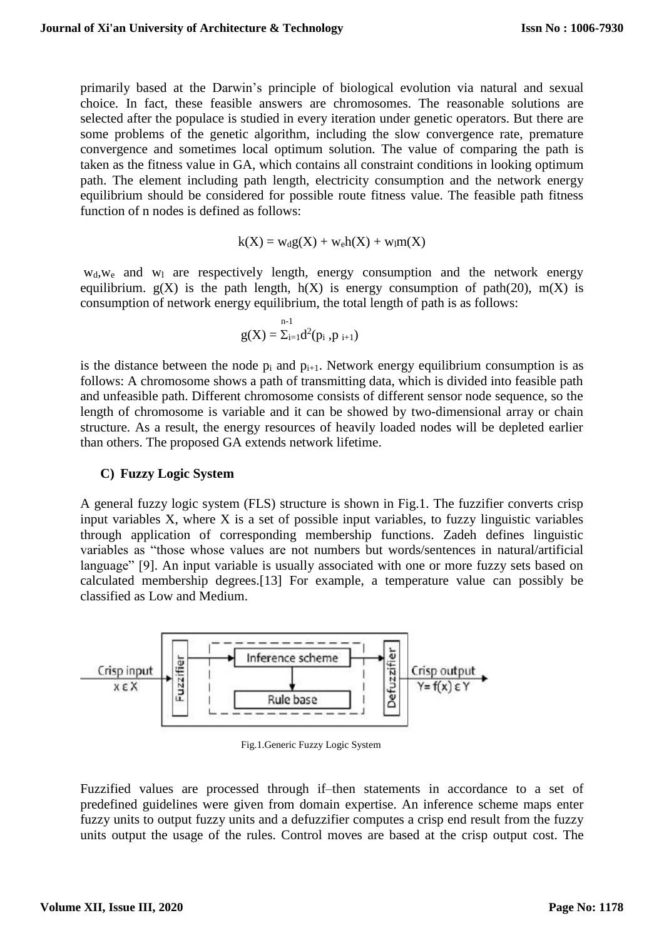primarily based at the Darwin's principle of biological evolution via natural and sexual choice. In fact, these feasible answers are chromosomes. The reasonable solutions are selected after the populace is studied in every iteration under genetic operators. But there are some problems of the genetic algorithm, including the slow convergence rate, premature convergence and sometimes local optimum solution. The value of comparing the path is taken as the fitness value in GA, which contains all constraint conditions in looking optimum path. The element including path length, electricity consumption and the network energy equilibrium should be considered for possible route fitness value. The feasible path fitness function of n nodes is defined as follows:

$$
k(X) = w_d g(X) + w_e h(X) + w_l m(X)
$$

 $w_d$ ,  $w_e$  and  $w_l$  are respectively length, energy consumption and the network energy equilibrium.  $g(X)$  is the path length,  $h(X)$  is energy consumption of path(20), m(X) is consumption of network energy equilibrium, the total length of path is as follows:

$$
g(X)=\Sigma_{i=1}d^2(p_i\;,p_{i+1})
$$

is the distance between the node  $p_i$  and  $p_{i+1}$ . Network energy equilibrium consumption is as follows: A chromosome shows a path of transmitting data, which is divided into feasible path and unfeasible path. Different chromosome consists of different sensor node sequence, so the length of chromosome is variable and it can be showed by two-dimensional array or chain structure. As a result, the energy resources of heavily loaded nodes will be depleted earlier than others. The proposed GA extends network lifetime.

#### **C) Fuzzy Logic System**

A general fuzzy logic system (FLS) structure is shown in Fig.1. The fuzzifier converts crisp input variables X, where X is a set of possible input variables, to fuzzy linguistic variables through application of corresponding membership functions. Zadeh defines linguistic variables as "those whose values are not numbers but words/sentences in natural/artificial language" [9]. An input variable is usually associated with one or more fuzzy sets based on calculated membership degrees.[13] For example, a temperature value can possibly be classified as Low and Medium.



Fig.1.Generic Fuzzy Logic System

Fuzzified values are processed through if–then statements in accordance to a set of predefined guidelines were given from domain expertise. An inference scheme maps enter fuzzy units to output fuzzy units and a defuzzifier computes a crisp end result from the fuzzy units output the usage of the rules. Control moves are based at the crisp output cost. The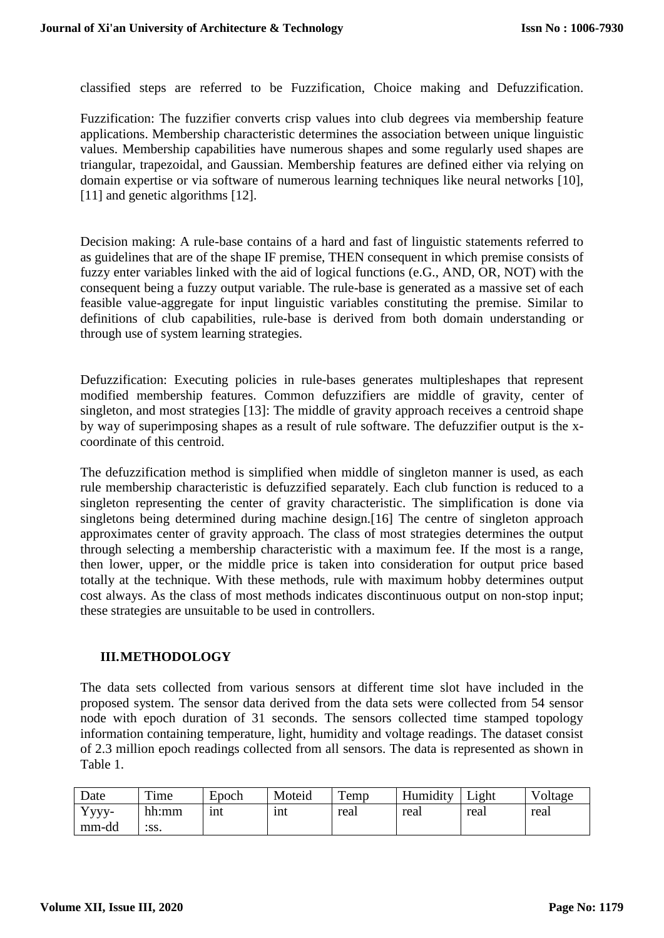classified steps are referred to be Fuzzification, Choice making and Defuzzification.

Fuzzification: The fuzzifier converts crisp values into club degrees via membership feature applications. Membership characteristic determines the association between unique linguistic values. Membership capabilities have numerous shapes and some regularly used shapes are triangular, trapezoidal, and Gaussian. Membership features are defined either via relying on domain expertise or via software of numerous learning techniques like neural networks [10], [11] and genetic algorithms [12].

Decision making: A rule-base contains of a hard and fast of linguistic statements referred to as guidelines that are of the shape IF premise, THEN consequent in which premise consists of fuzzy enter variables linked with the aid of logical functions (e.G., AND, OR, NOT) with the consequent being a fuzzy output variable. The rule-base is generated as a massive set of each feasible value-aggregate for input linguistic variables constituting the premise. Similar to definitions of club capabilities, rule-base is derived from both domain understanding or through use of system learning strategies.

Defuzzification: Executing policies in rule-bases generates multipleshapes that represent modified membership features. Common defuzzifiers are middle of gravity, center of singleton, and most strategies [13]: The middle of gravity approach receives a centroid shape by way of superimposing shapes as a result of rule software. The defuzzifier output is the xcoordinate of this centroid.

The defuzzification method is simplified when middle of singleton manner is used, as each rule membership characteristic is defuzzified separately. Each club function is reduced to a singleton representing the center of gravity characteristic. The simplification is done via singletons being determined during machine design.[16] The centre of singleton approach approximates center of gravity approach. The class of most strategies determines the output through selecting a membership characteristic with a maximum fee. If the most is a range, then lower, upper, or the middle price is taken into consideration for output price based totally at the technique. With these methods, rule with maximum hobby determines output cost always. As the class of most methods indicates discontinuous output on non-stop input; these strategies are unsuitable to be used in controllers.

#### **III.METHODOLOGY**

The data sets collected from various sensors at different time slot have included in the proposed system. The sensor data derived from the data sets were collected from 54 sensor node with epoch duration of 31 seconds. The sensors collected time stamped topology information containing temperature, light, humidity and voltage readings. The dataset consist of 2.3 million epoch readings collected from all sensors. The data is represented as shown in Table 1.

| Date  | Time  | Epoch | Moteid | $\mathbf{r}$<br>remp | Humidity | Light | Voltage |
|-------|-------|-------|--------|----------------------|----------|-------|---------|
| Yyyy- | hh:mm | 1nt   | 1nt    | real                 | real     | real  | real    |
| mm-dd | :SS.  |       |        |                      |          |       |         |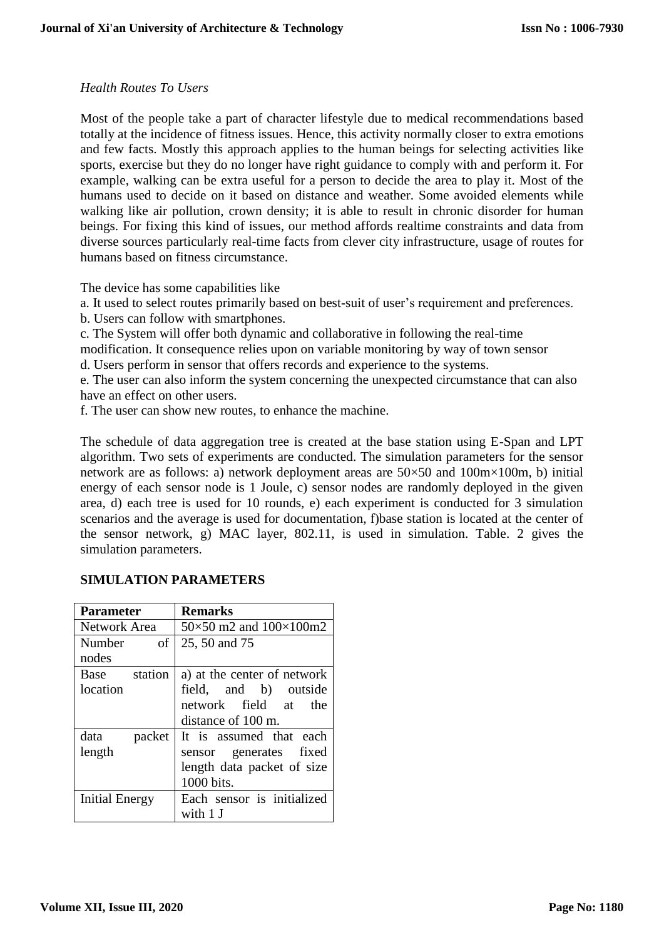#### *Health Routes To Users*

Most of the people take a part of character lifestyle due to medical recommendations based totally at the incidence of fitness issues. Hence, this activity normally closer to extra emotions and few facts. Mostly this approach applies to the human beings for selecting activities like sports, exercise but they do no longer have right guidance to comply with and perform it. For example, walking can be extra useful for a person to decide the area to play it. Most of the humans used to decide on it based on distance and weather. Some avoided elements while walking like air pollution, crown density; it is able to result in chronic disorder for human beings. For fixing this kind of issues, our method affords realtime constraints and data from diverse sources particularly real-time facts from clever city infrastructure, usage of routes for humans based on fitness circumstance.

The device has some capabilities like

a. It used to select routes primarily based on best-suit of user's requirement and preferences.

b. Users can follow with smartphones.

c. The System will offer both dynamic and collaborative in following the real-time

modification. It consequence relies upon on variable monitoring by way of town sensor

d. Users perform in sensor that offers records and experience to the systems.

e. The user can also inform the system concerning the unexpected circumstance that can also have an effect on other users.

f. The user can show new routes, to enhance the machine.

The schedule of data aggregation tree is created at the base station using E-Span and LPT algorithm. Two sets of experiments are conducted. The simulation parameters for the sensor network are as follows: a) network deployment areas are 50×50 and 100m×100m, b) initial energy of each sensor node is 1 Joule, c) sensor nodes are randomly deployed in the given area, d) each tree is used for 10 rounds, e) each experiment is conducted for 3 simulation scenarios and the average is used for documentation, f)base station is located at the center of the sensor network, g) MAC layer, 802.11, is used in simulation. Table. 2 gives the simulation parameters.

## **SIMULATION PARAMETERS**

| <b>Parameter</b>      | <b>Remarks</b>                        |  |  |
|-----------------------|---------------------------------------|--|--|
| Network Area          | $50\times50$ m2 and $100\times100$ m2 |  |  |
| Number<br>οf          | 25, 50 and 75                         |  |  |
| nodes                 |                                       |  |  |
| station<br>Base       | a) at the center of network           |  |  |
| location              | field, and b) outside                 |  |  |
|                       | network field at the                  |  |  |
|                       | distance of 100 m.                    |  |  |
| data<br>packet        | It is assumed that each               |  |  |
| length                | sensor generates fixed                |  |  |
|                       | length data packet of size            |  |  |
|                       | 1000 bits.                            |  |  |
| <b>Initial Energy</b> | Each sensor is initialized            |  |  |
|                       | with 1 J                              |  |  |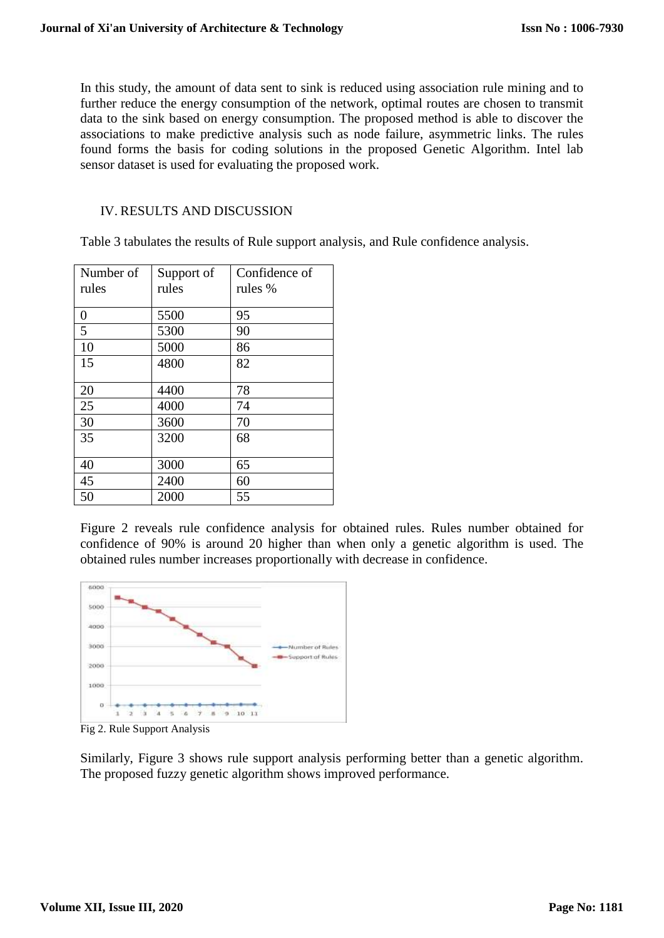In this study, the amount of data sent to sink is reduced using association rule mining and to further reduce the energy consumption of the network, optimal routes are chosen to transmit data to the sink based on energy consumption. The proposed method is able to discover the associations to make predictive analysis such as node failure, asymmetric links. The rules found forms the basis for coding solutions in the proposed Genetic Algorithm. Intel lab sensor dataset is used for evaluating the proposed work.

## IV. RESULTS AND DISCUSSION

Table 3 tabulates the results of Rule support analysis, and Rule confidence analysis.

| Number of      | Support of | Confidence of |
|----------------|------------|---------------|
| rules          | rules      | rules %       |
|                |            |               |
| $\overline{0}$ | 5500       | 95            |
| $\overline{5}$ | 5300       | 90            |
| 10             | 5000       | 86            |
| 15             | 4800       | 82            |
|                |            |               |
| 20             | 4400       | 78            |
| 25             | 4000       | 74            |
| 30             | 3600       | 70            |
| 35             | 3200       | 68            |
|                |            |               |
| 40             | 3000       | 65            |
| 45             | 2400       | 60            |
| 50             | 2000       | 55            |

Figure 2 reveals rule confidence analysis for obtained rules. Rules number obtained for confidence of 90% is around 20 higher than when only a genetic algorithm is used. The obtained rules number increases proportionally with decrease in confidence.



Fig 2. Rule Support Analysis

Similarly, Figure 3 shows rule support analysis performing better than a genetic algorithm. The proposed fuzzy genetic algorithm shows improved performance.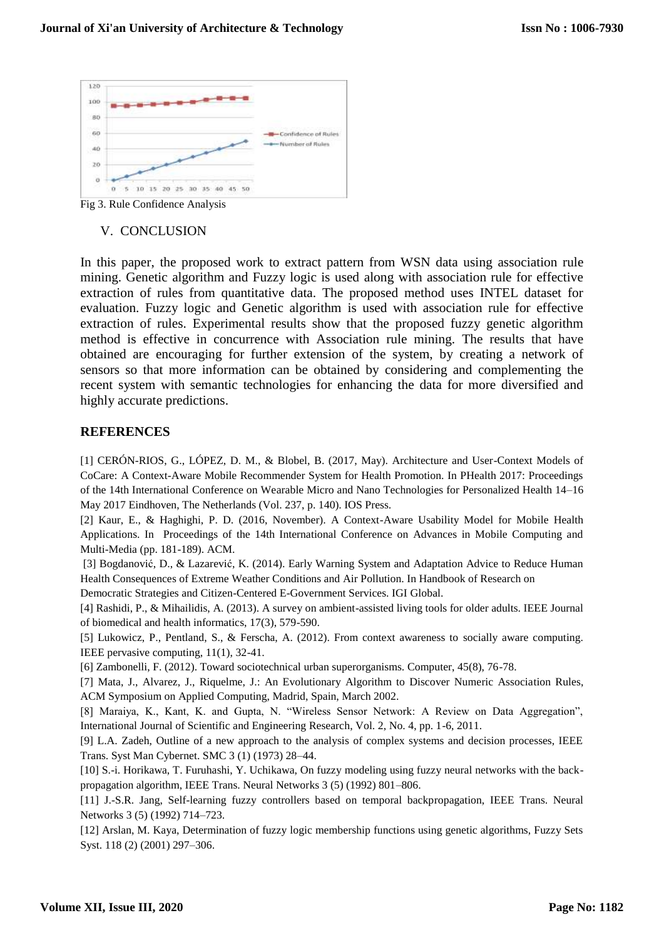

Fig 3. Rule Confidence Analysis

### V. CONCLUSION

In this paper, the proposed work to extract pattern from WSN data using association rule mining. Genetic algorithm and Fuzzy logic is used along with association rule for effective extraction of rules from quantitative data. The proposed method uses INTEL dataset for evaluation. Fuzzy logic and Genetic algorithm is used with association rule for effective extraction of rules. Experimental results show that the proposed fuzzy genetic algorithm method is effective in concurrence with Association rule mining. The results that have obtained are encouraging for further extension of the system, by creating a network of sensors so that more information can be obtained by considering and complementing the recent system with semantic technologies for enhancing the data for more diversified and highly accurate predictions.

## **REFERENCES**

[1] CERÓN-RIOS, G., LÓPEZ, D. M., & Blobel, B. (2017, May). Architecture and User-Context Models of CoCare: A Context-Aware Mobile Recommender System for Health Promotion. In PHealth 2017: Proceedings of the 14th International Conference on Wearable Micro and Nano Technologies for Personalized Health 14–16 May 2017 Eindhoven, The Netherlands (Vol. 237, p. 140). IOS Press.

[2] Kaur, E., & Haghighi, P. D. (2016, November). A Context-Aware Usability Model for Mobile Health Applications. In Proceedings of the 14th International Conference on Advances in Mobile Computing and Multi-Media (pp. 181-189). ACM.

[3] Bogdanović, D., & Lazarević, K. (2014). Early Warning System and Adaptation Advice to Reduce Human Health Consequences of Extreme Weather Conditions and Air Pollution. In Handbook of Research on

Democratic Strategies and Citizen-Centered E-Government Services. IGI Global.

[4] Rashidi, P., & Mihailidis, A. (2013). A survey on ambient-assisted living tools for older adults. IEEE Journal of biomedical and health informatics, 17(3), 579-590.

[5] Lukowicz, P., Pentland, S., & Ferscha, A. (2012). From context awareness to socially aware computing. IEEE pervasive computing, 11(1), 32-41.

[6] Zambonelli, F. (2012). Toward sociotechnical urban superorganisms. Computer, 45(8), 76-78.

[7] Mata, J., Alvarez, J., Riquelme, J.: An Evolutionary Algorithm to Discover Numeric Association Rules, ACM Symposium on Applied Computing, Madrid, Spain, March 2002.

[8] Maraiya, K., Kant, K. and Gupta, N. "Wireless Sensor Network: A Review on Data Aggregation", International Journal of Scientific and Engineering Research, Vol. 2, No. 4, pp. 1-6, 2011.

[9] L.A. Zadeh, Outline of a new approach to the analysis of complex systems and decision processes, IEEE Trans. Syst Man Cybernet. SMC 3 (1) (1973) 28–44.

[10] S.-i. Horikawa, T. Furuhashi, Y. Uchikawa, On fuzzy modeling using fuzzy neural networks with the backpropagation algorithm, IEEE Trans. Neural Networks 3 (5) (1992) 801–806.

[11] J.-S.R. Jang, Self-learning fuzzy controllers based on temporal backpropagation, IEEE Trans. Neural Networks 3 (5) (1992) 714–723.

[12] Arslan, M. Kaya, Determination of fuzzy logic membership functions using genetic algorithms, Fuzzy Sets Syst. 118 (2) (2001) 297–306.